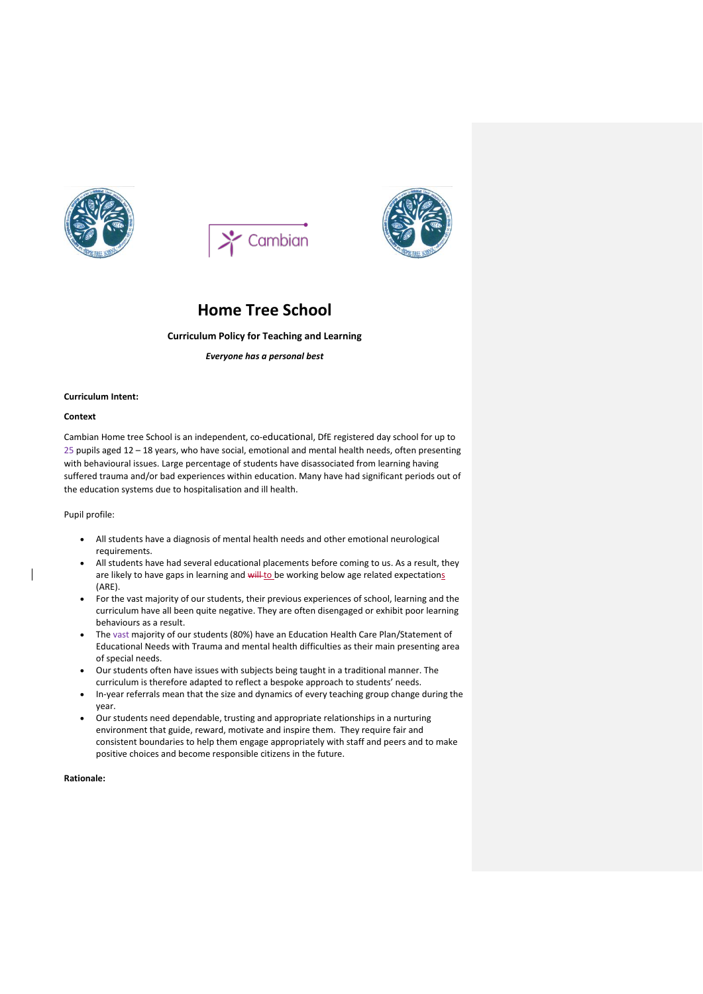





# **Home Tree School**

# **Curriculum Policy for Teaching and Learning**

*Everyone has a personal best*

#### **Curriculum Intent:**

#### **Context**

Cambian Home tree School is an independent, co-educational, DfE registered day school for up to 25 pupils aged 12 – 18 years, who have social, emotional and mental health needs, often presenting with behavioural issues. Large percentage of students have disassociated from learning having suffered trauma and/or bad experiences within education. Many have had significant periods out of the education systems due to hospitalisation and ill health.

#### Pupil profile:

 $\overline{\phantom{a}}$ 

- All students have a diagnosis of mental health needs and other emotional neurological requirements.
- All students have had several educational placements before coming to us. As a result, they are likely to have gaps in learning and will-to be working below age related expectations (ARE).
- For the vast majority of our students, their previous experiences of school, learning and the curriculum have all been quite negative. They are often disengaged or exhibit poor learning behaviours as a result.
- The vast majority of our students (80%) have an Education Health Care Plan/Statement of Educational Needs with Trauma and mental health difficulties as their main presenting area of special needs.
- Our students often have issues with subjects being taught in a traditional manner. The curriculum is therefore adapted to reflect a bespoke approach to students' needs.
- In-year referrals mean that the size and dynamics of every teaching group change during the year.
- Our students need dependable, trusting and appropriate relationships in a nurturing environment that guide, reward, motivate and inspire them. They require fair and consistent boundaries to help them engage appropriately with staff and peers and to make positive choices and become responsible citizens in the future.

#### **Rationale:**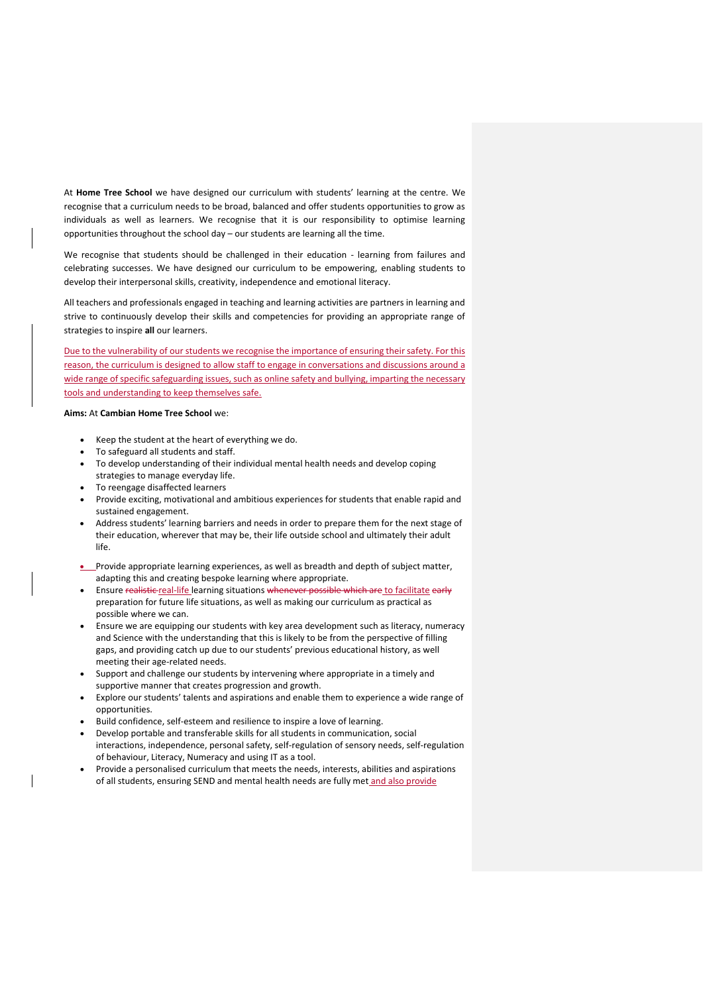At **Home Tree School** we have designed our curriculum with students' learning at the centre. We recognise that a curriculum needs to be broad, balanced and offer students opportunities to grow as individuals as well as learners. We recognise that it is our responsibility to optimise learning opportunities throughout the school day – our students are learning all the time.

We recognise that students should be challenged in their education - learning from failures and celebrating successes. We have designed our curriculum to be empowering, enabling students to develop their interpersonal skills, creativity, independence and emotional literacy.

All teachers and professionals engaged in teaching and learning activities are partners in learning and strive to continuously develop their skills and competencies for providing an appropriate range of strategies to inspire **all** our learners.

Due to the vulnerability of our students we recognise the importance of ensuring their safety. For this reason, the curriculum is designed to allow staff to engage in conversations and discussions around a wide range of specific safeguarding issues, such as online safety and bullying, imparting the necessary tools and understanding to keep themselves safe.

## **Aims:** At **Cambian Home Tree School** we:

- Keep the student at the heart of everything we do.
- To safeguard all students and staff.
- To develop understanding of their individual mental health needs and develop coping strategies to manage everyday life.
- To reengage disaffected learners
- Provide exciting, motivational and ambitious experiences for students that enable rapid and sustained engagement.
- Address students' learning barriers and needs in order to prepare them for the next stage of their education, wherever that may be, their life outside school and ultimately their adult life.
- Provide appropriate learning experiences, as well as breadth and depth of subject matter, adapting this and creating bespoke learning where appropriate.
- Ensure realistic real-life learning situations whenever possible which are to facilitate early preparation for future life situations, as well as making our curriculum as practical as possible where we can.
- Ensure we are equipping our students with key area development such as literacy, numeracy and Science with the understanding that this is likely to be from the perspective of filling gaps, and providing catch up due to our students' previous educational history, as well meeting their age-related needs.
- Support and challenge our students by intervening where appropriate in a timely and supportive manner that creates progression and growth.
- Explore our students' talents and aspirations and enable them to experience a wide range of opportunities.
- Build confidence, self-esteem and resilience to inspire a love of learning.
- Develop portable and transferable skills for all students in communication, social interactions, independence, personal safety, self-regulation of sensory needs, self-regulation of behaviour, Literacy, Numeracy and using IT as a tool.
- Provide a personalised curriculum that meets the needs, interests, abilities and aspirations of all students, ensuring SEND and mental health needs are fully met and also provide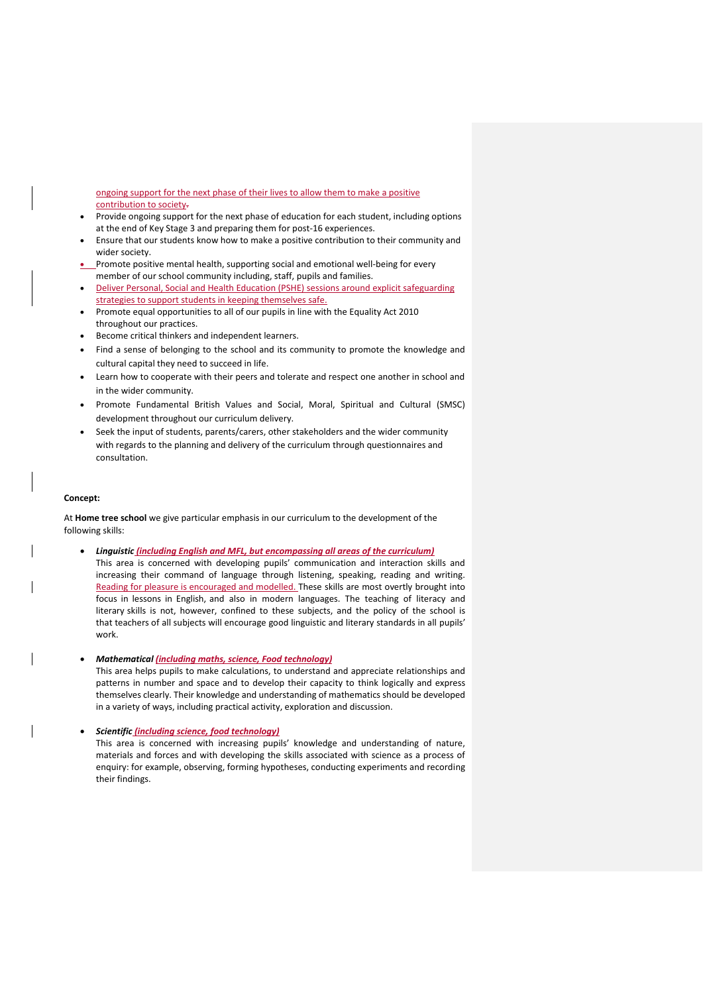ongoing support for the next phase of their lives to allow them to make a positive contribution to society.

- Provide ongoing support for the next phase of education for each student, including options at the end of Key Stage 3 and preparing them for post-16 experiences.
- Ensure that our students know how to make a positive contribution to their community and wider society.
- Promote positive mental health, supporting social and emotional well-being for every member of our school community including, staff, pupils and families.
- Deliver Personal, Social and Health Education (PSHE) sessions around explicit safeguarding strategies to support students in keeping themselves safe.
- Promote equal opportunities to all of our pupils in line with the Equality Act 2010 throughout our practices.
- Become critical thinkers and independent learners.
- Find a sense of belonging to the school and its community to promote the knowledge and cultural capital they need to succeed in life.
- Learn how to cooperate with their peers and tolerate and respect one another in school and in the wider community.
- Promote Fundamental British Values and Social, Moral, Spiritual and Cultural (SMSC) development throughout our curriculum delivery.
- Seek the input of students, parents/carers, other stakeholders and the wider community with regards to the planning and delivery of the curriculum through questionnaires and consultation.

#### **Concept:**

At **Home tree school** we give particular emphasis in our curriculum to the development of the following skills:

 *Linguistic (including English and MFL, but encompassing all areas of the curriculum)*  This area is concerned with developing pupils' communication and interaction skills and increasing their command of language through listening, speaking, reading and writing. Reading for pleasure is encouraged and modelled. These skills are most overtly brought into focus in lessons in English, and also in modern languages. The teaching of literacy and literary skills is not, however, confined to these subjects, and the policy of the school is that teachers of all subjects will encourage good linguistic and literary standards in all pupils' work.

*Mathematical (including maths, science, Food technology)*

This area helps pupils to make calculations, to understand and appreciate relationships and patterns in number and space and to develop their capacity to think logically and express themselves clearly. Their knowledge and understanding of mathematics should be developed in a variety of ways, including practical activity, exploration and discussion.

#### *Scientific (including science, food technology)*

This area is concerned with increasing pupils' knowledge and understanding of nature, materials and forces and with developing the skills associated with science as a process of enquiry: for example, observing, forming hypotheses, conducting experiments and recording their findings.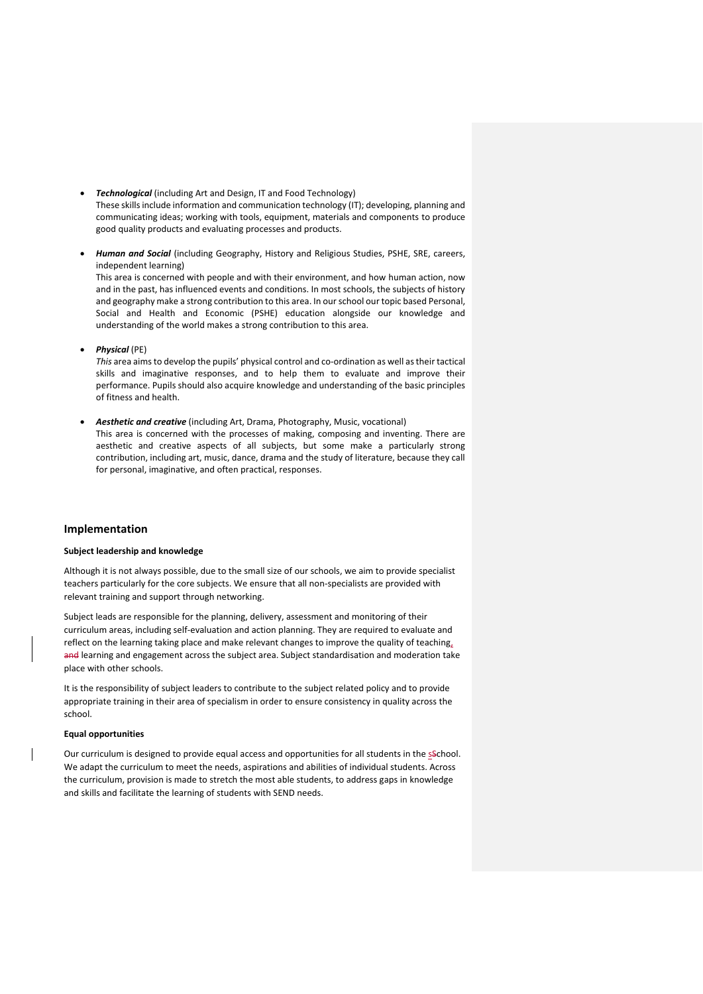- *Technological* (including Art and Design, IT and Food Technology) These skills include information and communication technology (IT); developing, planning and communicating ideas; working with tools, equipment, materials and components to produce good quality products and evaluating processes and products.
- *Human and Social* (including Geography, History and Religious Studies, PSHE, SRE, careers, independent learning)

This area is concerned with people and with their environment, and how human action, now and in the past, has influenced events and conditions. In most schools, the subjects of history and geography make a strong contribution to this area. In our school our topic based Personal, Social and Health and Economic (PSHE) education alongside our knowledge and understanding of the world makes a strong contribution to this area.

*Physical* (PE)

*This* area aims to develop the pupils' physical control and co-ordination as well as their tactical skills and imaginative responses, and to help them to evaluate and improve their performance. Pupils should also acquire knowledge and understanding of the basic principles of fitness and health.

 *Aesthetic and creative* (including Art, Drama, Photography, Music, vocational) This area is concerned with the processes of making, composing and inventing. There are aesthetic and creative aspects of all subjects, but some make a particularly strong contribution, including art, music, dance, drama and the study of literature, because they call for personal, imaginative, and often practical, responses.

## **Implementation**

## **Subject leadership and knowledge**

Although it is not always possible, due to the small size of our schools, we aim to provide specialist teachers particularly for the core subjects. We ensure that all non-specialists are provided with relevant training and support through networking.

Subject leads are responsible for the planning, delivery, assessment and monitoring of their curriculum areas, including self-evaluation and action planning. They are required to evaluate and reflect on the learning taking place and make relevant changes to improve the quality of teaching, and learning and engagement across the subject area. Subject standardisation and moderation take place with other schools.

It is the responsibility of subject leaders to contribute to the subject related policy and to provide appropriate training in their area of specialism in order to ensure consistency in quality across the school.

#### **Equal opportunities**

 $\overline{\phantom{a}}$ 

Our curriculum is designed to provide equal access and opportunities for all students in the sschool. We adapt the curriculum to meet the needs, aspirations and abilities of individual students. Across the curriculum, provision is made to stretch the most able students, to address gaps in knowledge and skills and facilitate the learning of students with SEND needs.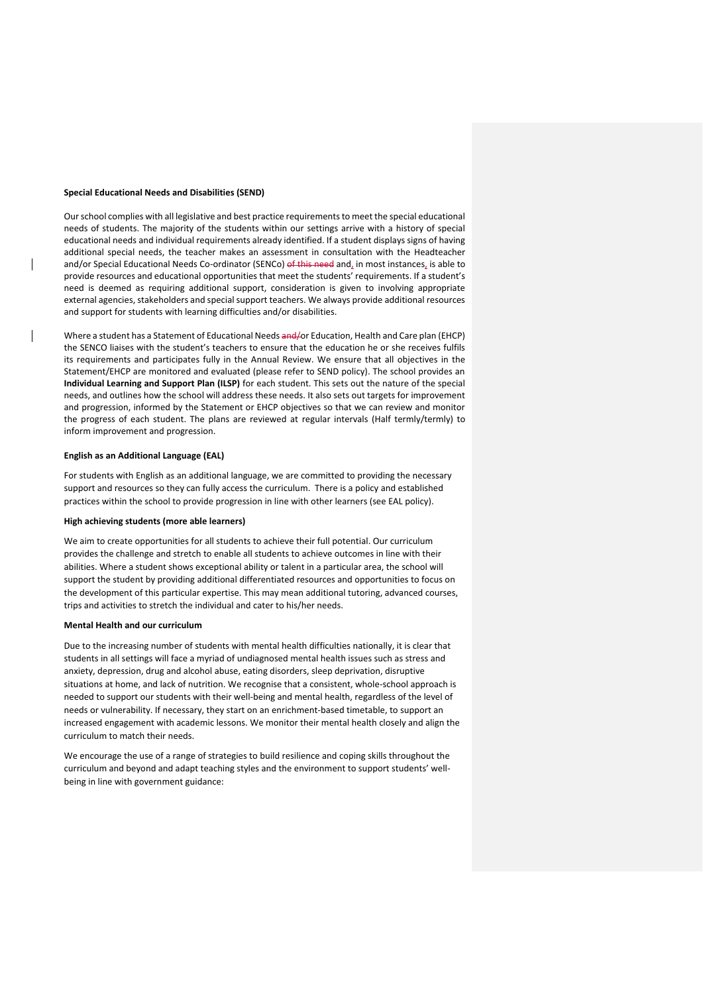#### **Special Educational Needs and Disabilities (SEND)**

 $\overline{\phantom{a}}$ 

Our school complies with all legislative and best practice requirements to meet the special educational needs of students. The majority of the students within our settings arrive with a history of special educational needs and individual requirements already identified. If a student displays signs of having additional special needs, the teacher makes an assessment in consultation with the Headteacher and/or Special Educational Needs Co-ordinator (SENCo) of this need and, in most instances, is able to provide resources and educational opportunities that meet the students' requirements. If a student's need is deemed as requiring additional support, consideration is given to involving appropriate external agencies, stakeholders and special support teachers. We always provide additional resources and support for students with learning difficulties and/or disabilities.

Where a student has a Statement of Educational Needs and/or Education, Health and Care plan (EHCP) the SENCO liaises with the student's teachers to ensure that the education he or she receives fulfils its requirements and participates fully in the Annual Review. We ensure that all objectives in the Statement/EHCP are monitored and evaluated (please refer to SEND policy). The school provides an **Individual Learning and Support Plan (ILSP)** for each student. This sets out the nature of the special needs, and outlines how the school will address these needs. It also sets out targets for improvement and progression, informed by the Statement or EHCP objectives so that we can review and monitor the progress of each student. The plans are reviewed at regular intervals (Half termly/termly) to inform improvement and progression.

#### **English as an Additional Language (EAL)**

For students with English as an additional language, we are committed to providing the necessary support and resources so they can fully access the curriculum. There is a policy and established practices within the school to provide progression in line with other learners (see EAL policy).

## **High achieving students (more able learners)**

We aim to create opportunities for all students to achieve their full potential. Our curriculum provides the challenge and stretch to enable all students to achieve outcomes in line with their abilities. Where a student shows exceptional ability or talent in a particular area, the school will support the student by providing additional differentiated resources and opportunities to focus on the development of this particular expertise. This may mean additional tutoring, advanced courses, trips and activities to stretch the individual and cater to his/her needs.

## **Mental Health and our curriculum**

Due to the increasing number of students with mental health difficulties nationally, it is clear that students in all settings will face a myriad of undiagnosed mental health issues such as stress and anxiety, depression, drug and alcohol abuse, eating disorders, sleep deprivation, disruptive situations at home, and lack of nutrition. We recognise that a consistent, whole-school approach is needed to support our students with their well-being and mental health, regardless of the level of needs or vulnerability. If necessary, they start on an enrichment-based timetable, to support an increased engagement with academic lessons. We monitor their mental health closely and align the curriculum to match their needs.

We encourage the use of a range of strategies to build resilience and coping skills throughout the curriculum and beyond and adapt teaching styles and the environment to support students' wellbeing in line with government guidance: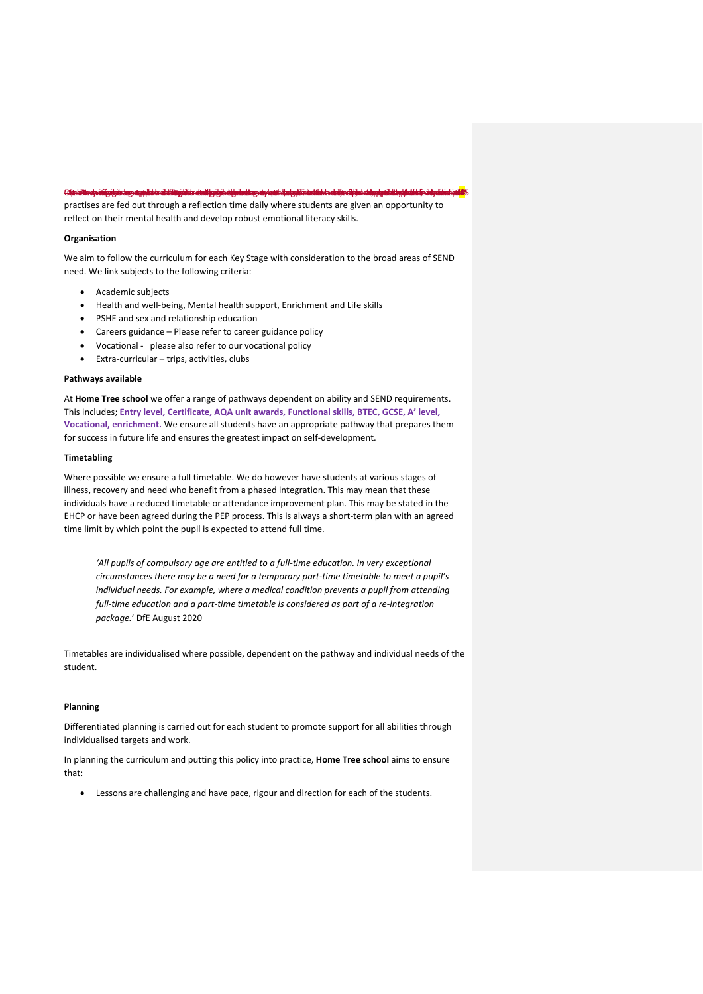#### <u>GijekZiednálfyájáság applictoátilágálicsámhlyájásálainak ag antolagalia málotoátip útjus alappáida platinizágálam máz</u>

practises are fed out through a reflection time daily where students are given an opportunity to reflect on their mental health and develop robust emotional literacy skills.

#### **Organisation**

We aim to follow the curriculum for each Key Stage with consideration to the broad areas of SEND need. We link subjects to the following criteria:

- Academic subjects
- Health and well-being, Mental health support, Enrichment and Life skills
- PSHE and sex and relationship education
- Careers guidance Please refer to career guidance policy
- Vocational please also refer to our vocational policy
- Extra-curricular trips, activities, clubs

## **Pathways available**

At **Home Tree school** we offer a range of pathways dependent on ability and SEND requirements. This includes; **Entry level, Certificate, AQA unit awards, Functional skills, BTEC, GCSE, A' level, Vocational, enrichment.** We ensure all students have an appropriate pathway that prepares them for success in future life and ensures the greatest impact on self-development.

## **Timetabling**

Where possible we ensure a full timetable. We do however have students at various stages of illness, recovery and need who benefit from a phased integration. This may mean that these individuals have a reduced timetable or attendance improvement plan. This may be stated in the EHCP or have been agreed during the PEP process. This is always a short-term plan with an agreed time limit by which point the pupil is expected to attend full time.

*'All pupils of compulsory age are entitled to a full-time education. In very exceptional circumstances there may be a need for a temporary part-time timetable to meet a pupil's individual needs. For example, where a medical condition prevents a pupil from attending full-time education and a part-time timetable is considered as part of a re-integration package.*' DfE August 2020

Timetables are individualised where possible, dependent on the pathway and individual needs of the student.

## **Planning**

Differentiated planning is carried out for each student to promote support for all abilities through individualised targets and work.

In planning the curriculum and putting this policy into practice, **Home Tree school** aims to ensure that:

Lessons are challenging and have pace, rigour and direction for each of the students.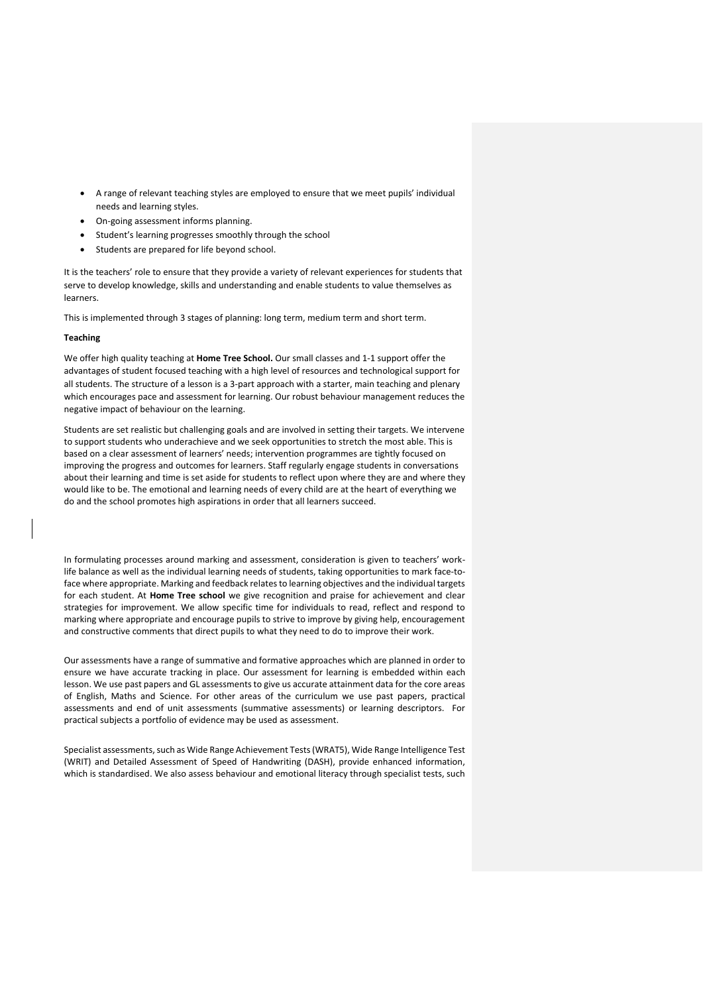- A range of relevant teaching styles are employed to ensure that we meet pupils' individual needs and learning styles.
- On-going assessment informs planning.
- Student's learning progresses smoothly through the school
- Students are prepared for life beyond school.

It is the teachers' role to ensure that they provide a variety of relevant experiences for students that serve to develop knowledge, skills and understanding and enable students to value themselves as learners.

This is implemented through 3 stages of planning: long term, medium term and short term.

#### **Teaching**

We offer high quality teaching at **Home Tree School.** Our small classes and 1-1 support offer the advantages of student focused teaching with a high level of resources and technological support for all students. The structure of a lesson is a 3-part approach with a starter, main teaching and plenary which encourages pace and assessment for learning. Our robust behaviour management reduces the negative impact of behaviour on the learning.

Students are set realistic but challenging goals and are involved in setting their targets. We intervene to support students who underachieve and we seek opportunities to stretch the most able. This is based on a clear assessment of learners' needs; intervention programmes are tightly focused on improving the progress and outcomes for learners. Staff regularly engage students in conversations about their learning and time is set aside for students to reflect upon where they are and where they would like to be. The emotional and learning needs of every child are at the heart of everything we do and the school promotes high aspirations in order that all learners succeed.

In formulating processes around marking and assessment, consideration is given to teachers' worklife balance as well as the individual learning needs of students, taking opportunities to mark face-toface where appropriate. Marking and feedback relates to learning objectives and the individual targets for each student. At **Home Tree school** we give recognition and praise for achievement and clear strategies for improvement. We allow specific time for individuals to read, reflect and respond to marking where appropriate and encourage pupils to strive to improve by giving help, encouragement and constructive comments that direct pupils to what they need to do to improve their work.

Our assessments have a range of summative and formative approaches which are planned in order to ensure we have accurate tracking in place. Our assessment for learning is embedded within each lesson. We use past papers and GL assessments to give us accurate attainment data for the core areas of English, Maths and Science. For other areas of the curriculum we use past papers, practical assessments and end of unit assessments (summative assessments) or learning descriptors. For practical subjects a portfolio of evidence may be used as assessment.

Specialist assessments, such as Wide Range Achievement Tests (WRAT5), Wide Range Intelligence Test (WRIT) and Detailed Assessment of Speed of Handwriting (DASH), provide enhanced information, which is standardised. We also assess behaviour and emotional literacy through specialist tests, such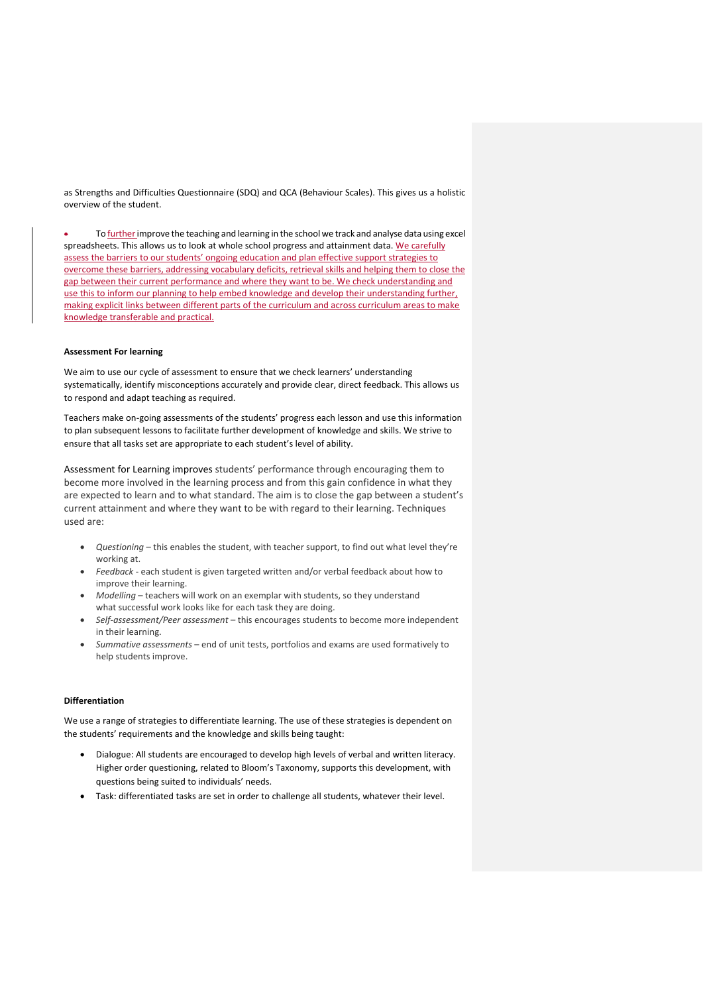as Strengths and Difficulties Questionnaire (SDQ) and QCA (Behaviour Scales). This gives us a holistic overview of the student.

To further improve the teaching and learning in the school we track and analyse data using excel spreadsheets. This allows us to look at whole school progress and attainment data. We carefully assess the barriers to our students' ongoing education and plan effective support strategies to overcome these barriers, addressing vocabulary deficits, retrieval skills and helping them to close the gap between their current performance and where they want to be. We check understanding and use this to inform our planning to help embed knowledge and develop their understanding further, making explicit links between different parts of the curriculum and across curriculum areas to make knowledge transferable and practical.

#### **Assessment For learning**

We aim to use our cycle of assessment to ensure that we check learners' understanding systematically, identify misconceptions accurately and provide clear, direct feedback. This allows us to respond and adapt teaching as required.

Teachers make on-going assessments of the students' progress each lesson and use this information to plan subsequent lessons to facilitate further development of knowledge and skills. We strive to ensure that all tasks set are appropriate to each student's level of ability.

Assessment for Learning improves students' performance through encouraging them to become more involved in the learning process and from this gain confidence in what they are expected to learn and to what standard. The aim is to close the gap between a student's current attainment and where they want to be with regard to their learning. Techniques used are:

- *Questioning* this enables the student, with teacher support, to find out what level they're working at.
- *Feedback* each student is given targeted written and/or verbal feedback about how to improve their learning.
- *Modelling* teachers will work on an exemplar with students, so they understand what successful work looks like for each task they are doing.
- *Self-assessment/Peer assessment* this encourages students to become more independent in their learning.
- *Summative assessments* end of unit tests, portfolios and exams are used formatively to help students improve.

#### **Differentiation**

We use a range of strategies to differentiate learning. The use of these strategies is dependent on the students' requirements and the knowledge and skills being taught:

- Dialogue: All students are encouraged to develop high levels of verbal and written literacy. Higher order questioning, related to Bloom's Taxonomy, supports this development, with questions being suited to individuals' needs.
- Task: differentiated tasks are set in order to challenge all students, whatever their level.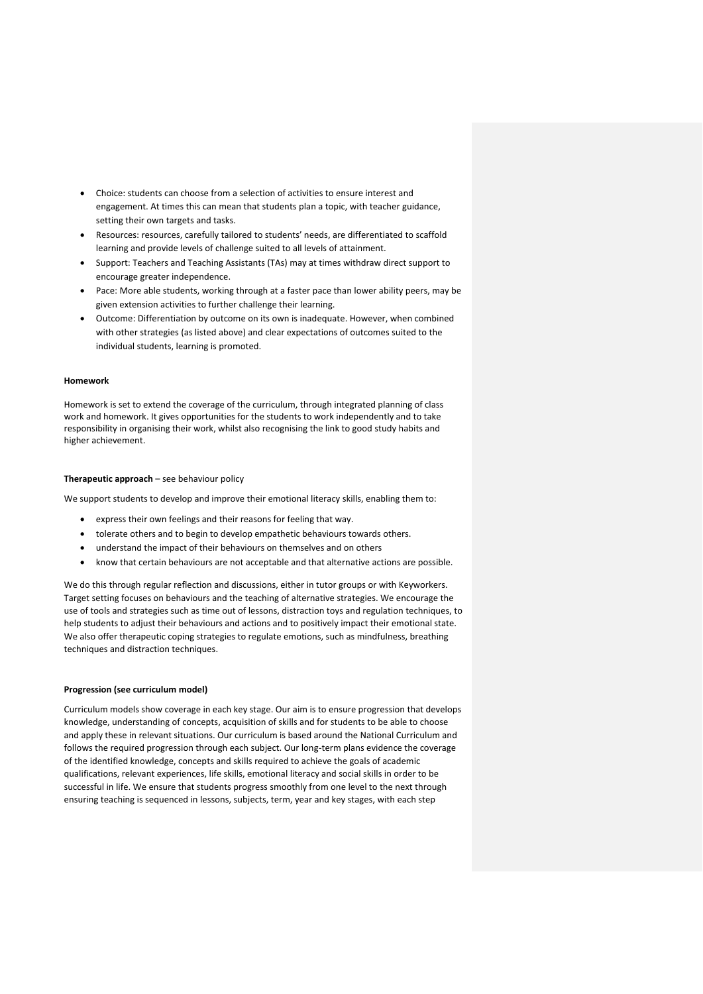- Choice: students can choose from a selection of activities to ensure interest and engagement. At times this can mean that students plan a topic, with teacher guidance, setting their own targets and tasks.
- Resources: resources, carefully tailored to students' needs, are differentiated to scaffold learning and provide levels of challenge suited to all levels of attainment.
- Support: Teachers and Teaching Assistants (TAs) may at times withdraw direct support to encourage greater independence.
- Pace: More able students, working through at a faster pace than lower ability peers, may be given extension activities to further challenge their learning.
- Outcome: Differentiation by outcome on its own is inadequate. However, when combined with other strategies (as listed above) and clear expectations of outcomes suited to the individual students, learning is promoted.

## **Homework**

Homework is set to extend the coverage of the curriculum, through integrated planning of class work and homework. It gives opportunities for the students to work independently and to take responsibility in organising their work, whilst also recognising the link to good study habits and higher achievement.

#### **Therapeutic approach** – see behaviour policy

We support students to develop and improve their emotional literacy skills, enabling them to:

- express their own feelings and their reasons for feeling that way.
- tolerate others and to begin to develop empathetic behaviours towards others.
- understand the impact of their behaviours on themselves and on others
- know that certain behaviours are not acceptable and that alternative actions are possible.

We do this through regular reflection and discussions, either in tutor groups or with Keyworkers. Target setting focuses on behaviours and the teaching of alternative strategies. We encourage the use of tools and strategies such as time out of lessons, distraction toys and regulation techniques, to help students to adjust their behaviours and actions and to positively impact their emotional state. We also offer therapeutic coping strategies to regulate emotions, such as mindfulness, breathing techniques and distraction techniques.

#### **Progression (see curriculum model)**

Curriculum models show coverage in each key stage. Our aim is to ensure progression that develops knowledge, understanding of concepts, acquisition of skills and for students to be able to choose and apply these in relevant situations. Our curriculum is based around the National Curriculum and follows the required progression through each subject. Our long-term plans evidence the coverage of the identified knowledge, concepts and skills required to achieve the goals of academic qualifications, relevant experiences, life skills, emotional literacy and social skills in order to be successful in life. We ensure that students progress smoothly from one level to the next through ensuring teaching is sequenced in lessons, subjects, term, year and key stages, with each step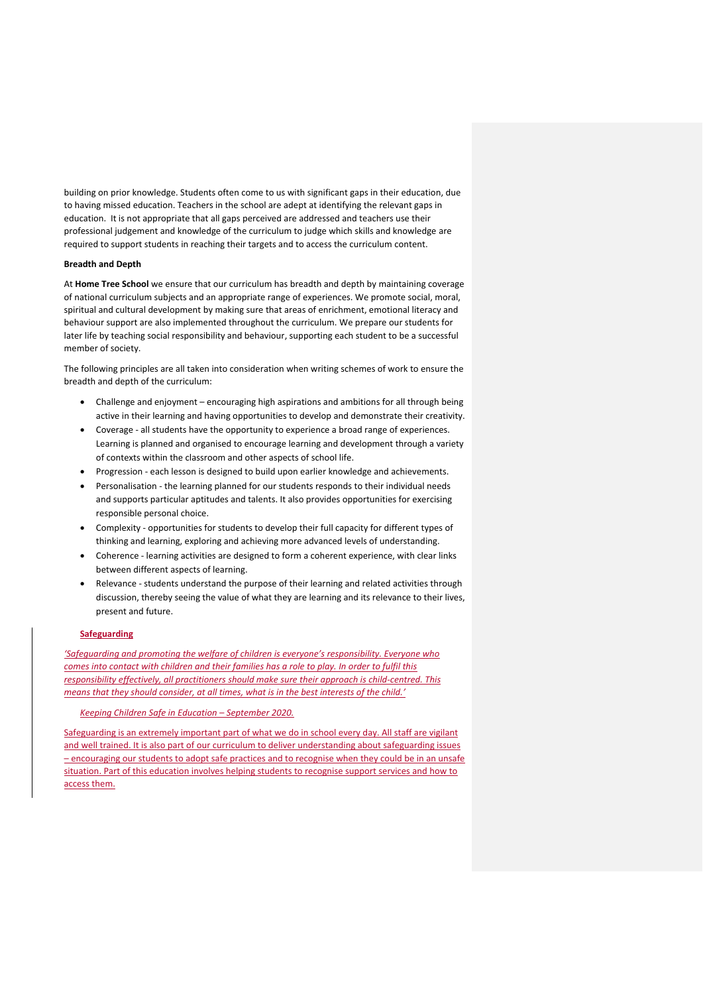building on prior knowledge. Students often come to us with significant gaps in their education, due to having missed education. Teachers in the school are adept at identifying the relevant gaps in education. It is not appropriate that all gaps perceived are addressed and teachers use their professional judgement and knowledge of the curriculum to judge which skills and knowledge are required to support students in reaching their targets and to access the curriculum content.

#### **Breadth and Depth**

At **Home Tree School** we ensure that our curriculum has breadth and depth by maintaining coverage of national curriculum subjects and an appropriate range of experiences. We promote social, moral, spiritual and cultural development by making sure that areas of enrichment, emotional literacy and behaviour support are also implemented throughout the curriculum. We prepare our students for later life by teaching social responsibility and behaviour, supporting each student to be a successful member of society.

The following principles are all taken into consideration when writing schemes of work to ensure the breadth and depth of the curriculum:

- Challenge and enjoyment encouraging high aspirations and ambitions for all through being active in their learning and having opportunities to develop and demonstrate their creativity.
- Coverage all students have the opportunity to experience a broad range of experiences. Learning is planned and organised to encourage learning and development through a variety of contexts within the classroom and other aspects of school life.
- Progression each lesson is designed to build upon earlier knowledge and achievements.
- Personalisation the learning planned for our students responds to their individual needs and supports particular aptitudes and talents. It also provides opportunities for exercising responsible personal choice.
- Complexity opportunities for students to develop their full capacity for different types of thinking and learning, exploring and achieving more advanced levels of understanding.
- Coherence learning activities are designed to form a coherent experience, with clear links between different aspects of learning.
- Relevance students understand the purpose of their learning and related activities through discussion, thereby seeing the value of what they are learning and its relevance to their lives, present and future.

## **Safeguarding**

*'Safeguarding and promoting the welfare of children is everyone's responsibility. Everyone who comes into contact with children and their families has a role to play. In order to fulfil this responsibility effectively, all practitioners should make sure their approach is child-centred. This means that they should consider, at all times, what is in the best interests of the child.'*

# *Keeping Children Safe in Education – September 2020.*

Safeguarding is an extremely important part of what we do in school every day. All staff are vigilant and well trained. It is also part of our curriculum to deliver understanding about safeguarding issues – encouraging our students to adopt safe practices and to recognise when they could be in an unsafe situation. Part of this education involves helping students to recognise support services and how to access them.